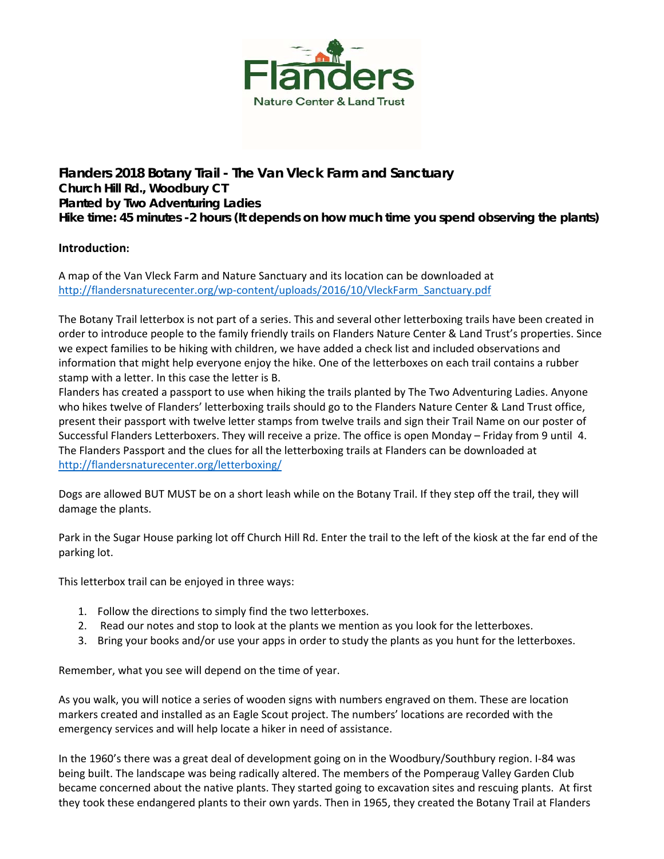

**Flanders 2018 Botany Trail - The Van Vleck Farm and Sanctuary Church Hill Rd., Woodbury CT Planted by Two Adventuring Ladies Hike time: 45 minutes -2 hours (It depends on how much time you spend observing the plants)** 

## **Introduction:**

A map of the Van Vleck Farm and Nature Sanctuary and its location can be downloaded at http://flandersnaturecenter.org/wp-[content/uploads/2016/10/VleckFarm\\_Sanctuary.pdf](http://flandersnaturecenter.org/wp-content/uploads/2016/10/VleckFarm_Sanctuary.pdf)

The Botany Trail letterbox is not part of a series. This and several other letterboxing trails have been created in order to introduce people to the family friendly trails on Flanders Nature Center & Land Trust's properties. Since we expect families to be hiking with children, we have added a check list and included observations and information that might help everyone enjoy the hike. One of the letterboxes on each trail contains a rubber stamp with a letter. In this case the letter is B.

Flanders has created a passport to use when hiking the trails planted by The Two Adventuring Ladies. Anyone who hikes twelve of Flanders' letterboxing trails should go to the Flanders Nature Center & Land Trust office, present their passport with twelve letter stamps from twelve trails and sign their Trail Name on our poster of Successful Flanders Letterboxers. They will receive a prize. The office is open Monday – Friday from 9 until 4. The Flanders Passport and the clues for all the letterboxing trails at Flanders can be downloaded at http://flandersnaturecenter.org/letterboxing/

Dogs are allowed BUT MUST be on a short leash while on the Botany Trail. If they step off the trail, they will damage the plants.

Park in the Sugar House parking lot off Church Hill Rd. Enter the trail to the left of the kiosk at the far end of the parking lot.

This letterbox trail can be enjoyed in three ways:

- 1. Follow the directions to simply find the two letterboxes.
- 2. Read our notes and stop to look at the plants we mention as you look for the letterboxes.
- 3. Bring your books and/or use your apps in order to study the plants as you hunt for the letterboxes.

Remember, what you see will depend on the time of year.

As you walk, you will notice a series of wooden signs with numbers engraved on them. These are location markers created and installed as an Eagle Scout project. The numbers' locations are recorded with the emergency services and will help locate a hiker in need of assistance.

In the 1960's there was a great deal of development going on in the Woodbury/Southbury region. I‐84 was being built. The landscape was being radically altered. The members of the Pomperaug Valley Garden Club became concerned about the native plants. They started going to excavation sites and rescuing plants. At first they took these endangered plants to their own yards. Then in 1965, they created the Botany Trail at Flanders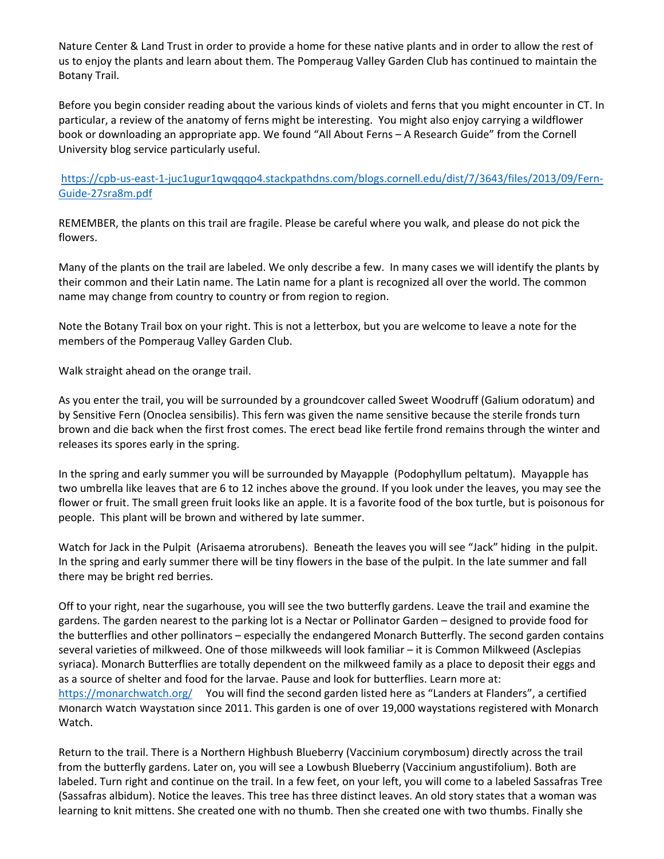Nature Center & Land Trust in order to provide a home for these native plants and in order to allow the rest of us to enjoy the plants and learn about them. The Pomperaug Valley Garden Club has continued to maintain the Botany Trail.

Before you begin consider reading about the various kinds of violets and ferns that you might encounter in CT. In particular, a review of the anatomy of ferns might be interesting. You might also enjoy carrying a wildflower book or downloading an appropriate app. We found "All About Ferns – A Research Guide" from the Cornell University blog service particularly useful.

https://cpb-us-east-1-[juc1ugur1qwqqqo4.stackpathdns.com/blogs.cornell.edu/dist/7/3643/files/2013/09/Fern](https://cpb-us-e1.wpmucdn.com/blogs.cornell.edu/dist/7/3643/files/2013/09/Fern-Guide-27sra8m.pdf)-Guide‐27sra8m.pdf

REMEMBER, the plants on this trail are fragile. Please be careful where you walk, and please do not pick the flowers.

Many of the plants on the trail are labeled. We only describe a few. In many cases we will identify the plants by their common and their Latin name. The Latin name for a plant is recognized all over the world. The common name may change from country to country or from region to region.

Note the Botany Trail box on your right. This is not a letterbox, but you are welcome to leave a note for the members of the Pomperaug Valley Garden Club.

Walk straight ahead on the orange trail.

As you enter the trail, you will be surrounded by a groundcover called Sweet Woodruff (Galium odoratum) and by Sensitive Fern (Onoclea sensibilis). This fern was given the name sensitive because the sterile fronds turn brown and die back when the first frost comes. The erect bead like fertile frond remains through the winter and releases its spores early in the spring.

In the spring and early summer you will be surrounded by Mayapple (Podophyllum peltatum). Mayapple has two umbrella like leaves that are 6 to 12 inches above the ground. If you look under the leaves, you may see the flower or fruit. The small green fruit looks like an apple. It is a favorite food of the box turtle, but is poisonous for people. This plant will be brown and withered by late summer.

Watch for Jack in the Pulpit (Arisaema atrorubens). Beneath the leaves you will see "Jack" hiding in the pulpit. In the spring and early summer there will be tiny flowers in the base of the pulpit. In the late summer and fall there may be bright red berries.

Off to your right, near the sugarhouse, you will see the two butterfly gardens. Leave the trail and examine the gardens. The garden nearest to the parking lot is a Nectar or Pollinator Garden – designed to provide food for the butterflies and other pollinators – especially the endangered Monarch Butterfly. The second garden contains several varieties of milkweed. One of those milkweeds will look familiar – it is Common Milkweed (Asclepias syriaca). Monarch Butterflies are totally dependent on the milkweed family as a place to deposit their eggs and as a source of shelter and food for the larvae. Pause and look for butterflies. Learn more at: [https://monarchwatch.org/](https://www.monarchwatch.org/) You will find the second garden listed here as "Landers at Flanders", a certified Monarch Watch Waystation since 2011. This garden is one of over 19,000 waystations registered with Monarch Watch.

Return to the trail. There is a Northern Highbush Blueberry (Vaccinium corymbosum) directly across the trail from the butterfly gardens. Later on, you will see a Lowbush Blueberry (Vaccinium angustifolium). Both are labeled. Turn right and continue on the trail. In a few feet, on your left, you will come to a labeled Sassafras Tree (Sassafras albidum). Notice the leaves. This tree has three distinct leaves. An old story states that a woman was learning to knit mittens. She created one with no thumb. Then she created one with two thumbs. Finally she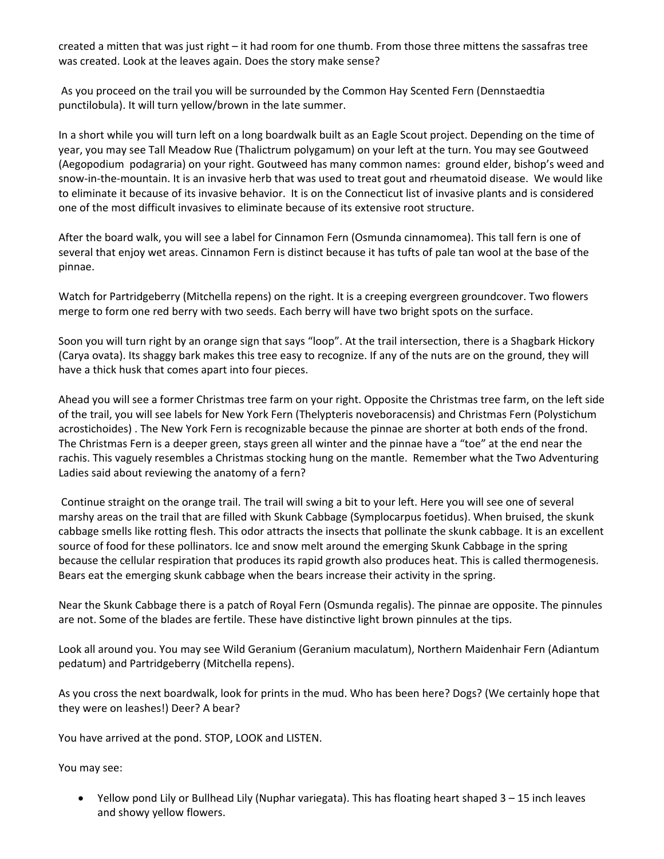created a mitten that was just right – it had room for one thumb. From those three mittens the sassafras tree was created. Look at the leaves again. Does the story make sense?

As you proceed on the trail you will be surrounded by the Common Hay Scented Fern (Dennstaedtia punctilobula). It will turn yellow/brown in the late summer.

In a short while you will turn left on a long boardwalk built as an Eagle Scout project. Depending on the time of year, you may see Tall Meadow Rue (Thalictrum polygamum) on your left at the turn. You may see Goutweed (Aegopodium podagraria) on your right. Goutweed has many common names: ground elder, bishop's weed and snow-in-the-mountain. It is an invasive herb that was used to treat gout and rheumatoid disease. We would like to eliminate it because of its invasive behavior. It is on the Connecticut list of invasive plants and is considered one of the most difficult invasives to eliminate because of its extensive root structure.

After the board walk, you will see a label for Cinnamon Fern (Osmunda cinnamomea). This tall fern is one of several that enjoy wet areas. Cinnamon Fern is distinct because it has tufts of pale tan wool at the base of the pinnae.

Watch for Partridgeberry (Mitchella repens) on the right. It is a creeping evergreen groundcover. Two flowers merge to form one red berry with two seeds. Each berry will have two bright spots on the surface.

Soon you will turn right by an orange sign that says "loop". At the trail intersection, there is a Shagbark Hickory (Carya ovata). Its shaggy bark makes this tree easy to recognize. If any of the nuts are on the ground, they will have a thick husk that comes apart into four pieces.

Ahead you will see a former Christmas tree farm on your right. Opposite the Christmas tree farm, on the left side of the trail, you will see labels for New York Fern (Thelypteris noveboracensis) and Christmas Fern (Polystichum acrostichoides) . The New York Fern is recognizable because the pinnae are shorter at both ends of the frond. The Christmas Fern is a deeper green, stays green all winter and the pinnae have a "toe" at the end near the rachis. This vaguely resembles a Christmas stocking hung on the mantle. Remember what the Two Adventuring Ladies said about reviewing the anatomy of a fern?

Continue straight on the orange trail. The trail will swing a bit to your left. Here you will see one of several marshy areas on the trail that are filled with Skunk Cabbage (Symplocarpus foetidus). When bruised, the skunk cabbage smells like rotting flesh. This odor attracts the insects that pollinate the skunk cabbage. It is an excellent source of food for these pollinators. Ice and snow melt around the emerging Skunk Cabbage in the spring because the cellular respiration that produces its rapid growth also produces heat. This is called thermogenesis. Bears eat the emerging skunk cabbage when the bears increase their activity in the spring.

Near the Skunk Cabbage there is a patch of Royal Fern (Osmunda regalis). The pinnae are opposite. The pinnules are not. Some of the blades are fertile. These have distinctive light brown pinnules at the tips.

Look all around you. You may see Wild Geranium (Geranium maculatum), Northern Maidenhair Fern (Adiantum pedatum) and Partridgeberry (Mitchella repens).

As you cross the next boardwalk, look for prints in the mud. Who has been here? Dogs? (We certainly hope that they were on leashes!) Deer? A bear?

You have arrived at the pond. STOP, LOOK and LISTEN.

You may see:

 Yellow pond Lily or Bullhead Lily (Nuphar variegata). This has floating heart shaped 3 – 15 inch leaves and showy yellow flowers.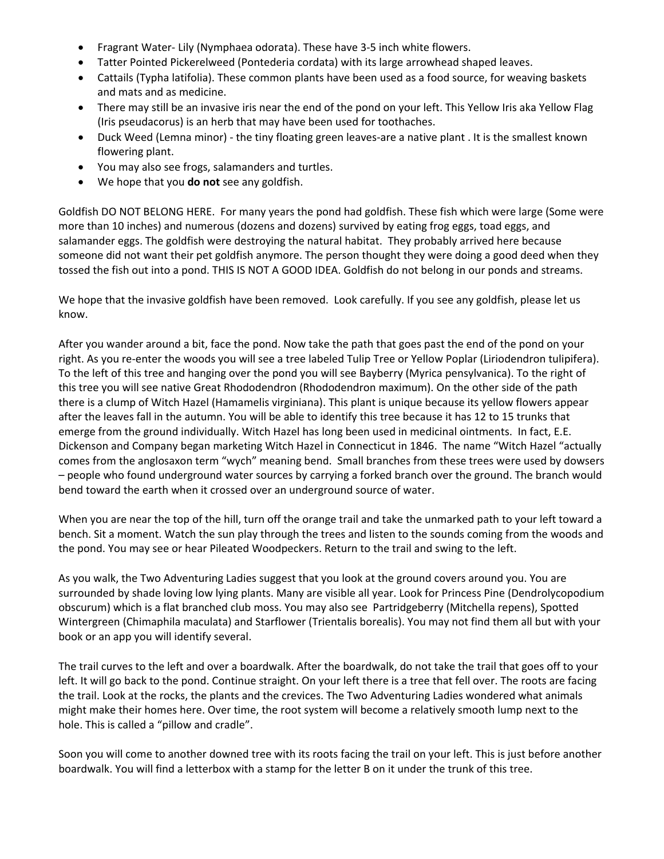- Fragrant Water‐ Lily (Nymphaea odorata). These have 3‐5 inch white flowers.
- Tatter Pointed Pickerelweed (Pontederia cordata) with its large arrowhead shaped leaves.
- Cattails (Typha latifolia). These common plants have been used as a food source, for weaving baskets and mats and as medicine.
- There may still be an invasive iris near the end of the pond on your left. This Yellow Iris aka Yellow Flag (Iris pseudacorus) is an herb that may have been used for toothaches.
- Duck Weed (Lemna minor) the tiny floating green leaves-are a native plant . It is the smallest known flowering plant.
- You may also see frogs, salamanders and turtles.
- We hope that you **do not** see any goldfish.

Goldfish DO NOT BELONG HERE. For many years the pond had goldfish. These fish which were large (Some were more than 10 inches) and numerous (dozens and dozens) survived by eating frog eggs, toad eggs, and salamander eggs. The goldfish were destroying the natural habitat. They probably arrived here because someone did not want their pet goldfish anymore. The person thought they were doing a good deed when they tossed the fish out into a pond. THIS IS NOT A GOOD IDEA. Goldfish do not belong in our ponds and streams.

We hope that the invasive goldfish have been removed. Look carefully. If you see any goldfish, please let us know.

After you wander around a bit, face the pond. Now take the path that goes past the end of the pond on your right. As you re‐enter the woods you will see a tree labeled Tulip Tree or Yellow Poplar (Liriodendron tulipifera). To the left of this tree and hanging over the pond you will see Bayberry (Myrica pensylvanica). To the right of this tree you will see native Great Rhododendron (Rhododendron maximum). On the other side of the path there is a clump of Witch Hazel (Hamamelis virginiana). This plant is unique because its yellow flowers appear after the leaves fall in the autumn. You will be able to identify this tree because it has 12 to 15 trunks that emerge from the ground individually. Witch Hazel has long been used in medicinal ointments. In fact, E.E. Dickenson and Company began marketing Witch Hazel in Connecticut in 1846. The name "Witch Hazel "actually comes from the anglosaxon term "wych" meaning bend. Small branches from these trees were used by dowsers – people who found underground water sources by carrying a forked branch over the ground. The branch would bend toward the earth when it crossed over an underground source of water.

When you are near the top of the hill, turn off the orange trail and take the unmarked path to your left toward a bench. Sit a moment. Watch the sun play through the trees and listen to the sounds coming from the woods and the pond. You may see or hear Pileated Woodpeckers. Return to the trail and swing to the left.

As you walk, the Two Adventuring Ladies suggest that you look at the ground covers around you. You are surrounded by shade loving low lying plants. Many are visible all year. Look for Princess Pine (Dendrolycopodium obscurum) which is a flat branched club moss. You may also see Partridgeberry (Mitchella repens), Spotted Wintergreen (Chimaphila maculata) and Starflower (Trientalis borealis). You may not find them all but with your book or an app you will identify several.

The trail curves to the left and over a boardwalk. After the boardwalk, do not take the trail that goes off to your left. It will go back to the pond. Continue straight. On your left there is a tree that fell over. The roots are facing the trail. Look at the rocks, the plants and the crevices. The Two Adventuring Ladies wondered what animals might make their homes here. Over time, the root system will become a relatively smooth lump next to the hole. This is called a "pillow and cradle".

Soon you will come to another downed tree with its roots facing the trail on your left. This is just before another boardwalk. You will find a letterbox with a stamp for the letter B on it under the trunk of this tree.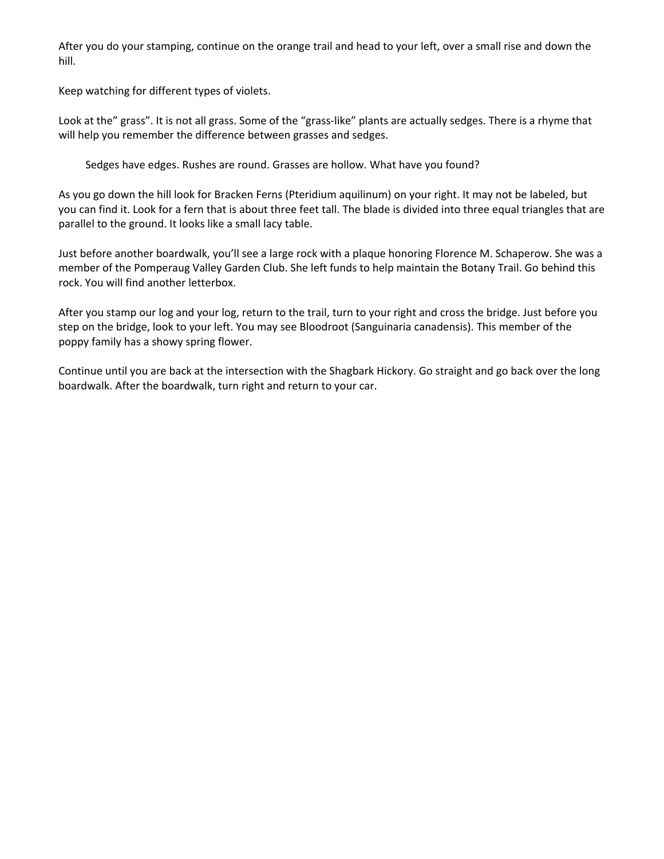After you do your stamping, continue on the orange trail and head to your left, over a small rise and down the hill.

Keep watching for different types of violets.

Look at the" grass". It is not all grass. Some of the "grass‐like" plants are actually sedges. There is a rhyme that will help you remember the difference between grasses and sedges.

Sedges have edges. Rushes are round. Grasses are hollow. What have you found?

As you go down the hill look for Bracken Ferns (Pteridium aquilinum) on your right. It may not be labeled, but you can find it. Look for a fern that is about three feet tall. The blade is divided into three equal triangles that are parallel to the ground. It looks like a small lacy table.

Just before another boardwalk, you'll see a large rock with a plaque honoring Florence M. Schaperow. She was a member of the Pomperaug Valley Garden Club. She left funds to help maintain the Botany Trail. Go behind this rock. You will find another letterbox.

After you stamp our log and your log, return to the trail, turn to your right and cross the bridge. Just before you step on the bridge, look to your left. You may see Bloodroot (Sanguinaria canadensis). This member of the poppy family has a showy spring flower.

Continue until you are back at the intersection with the Shagbark Hickory. Go straight and go back over the long boardwalk. After the boardwalk, turn right and return to your car.